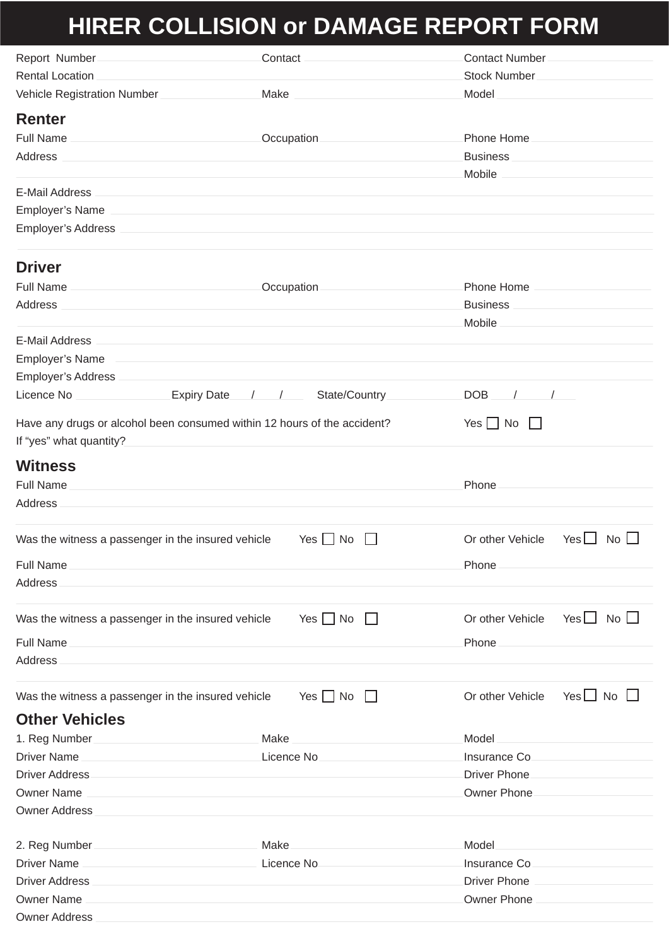## **HIRER COLLISION or DAMAGE REPORT FORM**

|                                                                          | Report Number_________________________________Contact __________________________               |                                                                                                                        |  |  |  |
|--------------------------------------------------------------------------|------------------------------------------------------------------------------------------------|------------------------------------------------------------------------------------------------------------------------|--|--|--|
|                                                                          |                                                                                                |                                                                                                                        |  |  |  |
|                                                                          |                                                                                                | Vehicle Registration Number __________________Make ____________________________Model _________________________         |  |  |  |
| <b>Renter</b>                                                            |                                                                                                |                                                                                                                        |  |  |  |
|                                                                          |                                                                                                |                                                                                                                        |  |  |  |
|                                                                          |                                                                                                |                                                                                                                        |  |  |  |
|                                                                          |                                                                                                |                                                                                                                        |  |  |  |
|                                                                          |                                                                                                |                                                                                                                        |  |  |  |
|                                                                          |                                                                                                |                                                                                                                        |  |  |  |
|                                                                          |                                                                                                |                                                                                                                        |  |  |  |
| <b>Driver</b>                                                            |                                                                                                |                                                                                                                        |  |  |  |
|                                                                          |                                                                                                | Full Name __________________________________Occupation _________________________Phone Home ___________________         |  |  |  |
|                                                                          |                                                                                                | Business <b>Example 20</b> Superior and Dentroits and Dentroits and Dentroits and Dentroits and Dentroits and Dentroit |  |  |  |
|                                                                          |                                                                                                |                                                                                                                        |  |  |  |
|                                                                          |                                                                                                |                                                                                                                        |  |  |  |
|                                                                          |                                                                                                |                                                                                                                        |  |  |  |
|                                                                          |                                                                                                |                                                                                                                        |  |  |  |
|                                                                          | Licence No _________________Expiry Date___/ ___/ ______State/Country____________DOB ___/ ____/ |                                                                                                                        |  |  |  |
| Have any drugs or alcohol been consumed within 12 hours of the accident? |                                                                                                | $Yes \nightharpoonup No$                                                                                               |  |  |  |
|                                                                          |                                                                                                |                                                                                                                        |  |  |  |
| <b>Witness</b>                                                           |                                                                                                |                                                                                                                        |  |  |  |
|                                                                          |                                                                                                |                                                                                                                        |  |  |  |
|                                                                          |                                                                                                |                                                                                                                        |  |  |  |
|                                                                          |                                                                                                |                                                                                                                        |  |  |  |
| Was the witness a passenger in the insured vehicle                       | $Yes \tN$<br>$\mathbf{1}$                                                                      | Or other Vehicle<br>Yes $\Box$ No $\Box$                                                                               |  |  |  |
|                                                                          |                                                                                                | Phone <u>___________________________________</u>                                                                       |  |  |  |
|                                                                          |                                                                                                |                                                                                                                        |  |  |  |
|                                                                          |                                                                                                |                                                                                                                        |  |  |  |
| Was the witness a passenger in the insured vehicle                       | Yes $\bigsqcup$ No $\bigsqcup$                                                                 | Or other Vehicle Yes $\Box$ No $\Box$                                                                                  |  |  |  |
|                                                                          |                                                                                                |                                                                                                                        |  |  |  |
|                                                                          |                                                                                                |                                                                                                                        |  |  |  |
|                                                                          |                                                                                                |                                                                                                                        |  |  |  |
| Was the witness a passenger in the insured vehicle                       | $Yes \Box No \Box$                                                                             | Yes∐ No ∐<br>Or other Vehicle                                                                                          |  |  |  |
| <b>Other Vehicles</b>                                                    |                                                                                                |                                                                                                                        |  |  |  |
|                                                                          |                                                                                                | 1. Reg Number_______________________________Make _____________________________Model __________________________         |  |  |  |
|                                                                          |                                                                                                |                                                                                                                        |  |  |  |
|                                                                          |                                                                                                |                                                                                                                        |  |  |  |
|                                                                          |                                                                                                |                                                                                                                        |  |  |  |
|                                                                          |                                                                                                |                                                                                                                        |  |  |  |
|                                                                          |                                                                                                |                                                                                                                        |  |  |  |
|                                                                          |                                                                                                | 2. Reg Number ________________________________ Make ____________________________Model ________________________         |  |  |  |
|                                                                          |                                                                                                |                                                                                                                        |  |  |  |
|                                                                          |                                                                                                |                                                                                                                        |  |  |  |
|                                                                          |                                                                                                |                                                                                                                        |  |  |  |
|                                                                          |                                                                                                |                                                                                                                        |  |  |  |